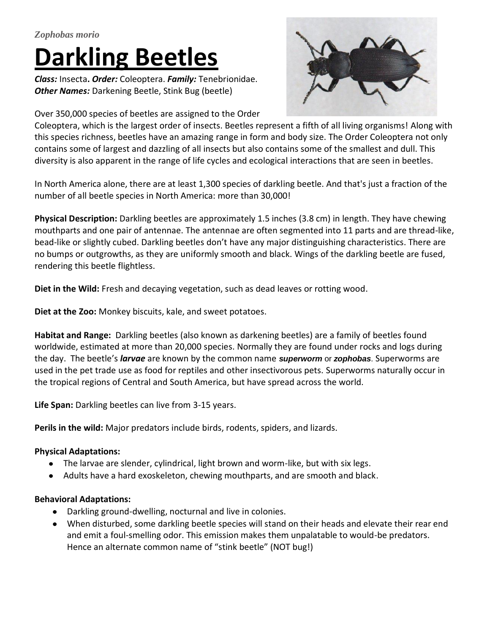# *Zophobas morio* **Darkling Beetles**

*Class:* Insecta**.** *Order:* [Coleoptera.](http://en.wikipedia.org/wiki/Beetle) *Family:* Tenebrionidae. *Other Names:* Darkening Beetle, Stink Bug (beetle)

Over 350,000 species of beetles are assigned to the Order

Coleoptera, which is the largest order of insects. Beetles represent a fifth of all living organisms! Along with this species richness, beetles have an amazing range in form and body size. The Order Coleoptera not only contains some of largest and dazzling of all insects but also contains some of the smallest and dull. This diversity is also apparent in the range of life cycles and ecological interactions that are seen in beetles.

In North America alone, there are at least 1,300 species of darkling beetle. And that's just a fraction of the number of all beetle species in North America: more than 30,000!

**Physical Description:** Darkling beetles are approximately 1.5 inches (3.8 cm) in length. They have chewing mouthparts and one pair of antennae. The antennae are often segmented into 11 parts and are thread-like, bead-like or slightly cubed. Darkling beetles don't have any major distinguishing characteristics. There are no bumps or outgrowths, as they are uniformly smooth and black. Wings of the darkling beetle are fused, rendering this beetle flightless.

**Diet in the Wild:** Fresh and decaying vegetation, such as dead leaves or rotting wood.

**Diet at the Zoo:** Monkey biscuits, kale, and sweet potatoes.

**Habitat and Range:** Darkling beetles (also known as darkening beetles) are a family of [beetles](http://en.wikipedia.org/wiki/Beetle) found worldwide, estimated at more than 20,000 [species.](http://en.wikipedia.org/wiki/Species_(biology)) Normally they are found under rocks and logs during the day. The beetle's *larvae* are known by the common name *superworm* or *zophobas*. Superworms are used in the pet trade use as food for reptiles and other insectivorous pets. Superworms naturally occur in the tropical regions of Central and South America, but have spread across the world.

**Life Span:** Darkling beetles can live from 3-15 years.

**Perils in the wild:** Major predators include [birds,](http://en.wikipedia.org/wiki/Bird) [rodents,](http://en.wikipedia.org/wiki/Rodent) [spiders,](http://en.wikipedia.org/wiki/Solifugae) and [lizards](http://en.wikipedia.org/wiki/Lizard).

# **Physical Adaptations:**

- The larvae are slender, cylindrical, light brown and worm-like, but with six legs.
- Adults have a hard exoskeleton, chewing mouthparts, and are smooth and black.

# **Behavioral Adaptations:**

- Darkling ground-dwelling, nocturnal and live in colonies.
- When disturbed, some darkling beetle species will stand on their heads and elevate their rear end and emit a foul-smelling odor. This emission makes them unpalatable to would-be predators. Hence an alternate common name of "stink beetle" (NOT bug!)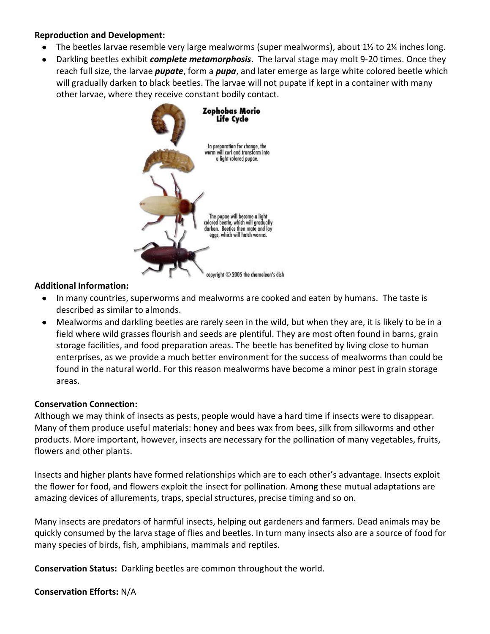#### **Reproduction and Development:**

- $\bullet$ The beetles larvae resemble very large [mealworms](http://www.enotes.com/topic/Mealworm) (super mealworms), about 1½ to 2¼ inches long.
- Darkling beetles exhibit *complete metamorphosis*. The larval stage may molt 9-20 times. Once they  $\bullet$ reach full size, the larvae *pupate*, form a *pupa*, and later emerge as large white colored beetle which will gradually darken to black beetles. The larvae will not pupate if kept in a container with many other larvae, where they receive constant bodily contact.



### **Additional Information:**

- $\bullet$ In many countries, superworms and mealworms are cooked and eaten by humans. The taste is described as similar to almonds.
- Mealworms and darkling beetles are rarely seen in the wild, but when they are, it is likely to be in a  $\bullet$ field where wild grasses flourish and seeds are plentiful. They are most often found in barns, grain storage facilities, and food preparation areas. The beetle has benefited by living close to human enterprises, as we provide a much better environment for the success of mealworms than could be found in the natural world. For this reason mealworms have become a minor pest in grain storage areas.

#### **Conservation Connection:**

Although we may think of insects as pests, people would have a hard time if insects were to disappear. Many of them produce useful materials: honey and bees wax from bees, silk from silkworms and other products. More important, however, insects are necessary for the pollination of many vegetables, fruits, flowers and other plants.

Insects and higher plants have formed relationships which are to each other's advantage. Insects exploit the flower for food, and flowers exploit the insect for pollination. Among these mutual adaptations are amazing devices of allurements, traps, special structures, precise timing and so on.

Many insects are predators of harmful insects, helping out gardeners and farmers. Dead animals may be quickly consumed by the larva stage of flies and beetles. In turn many insects also are a source of food for many species of birds, fish, amphibians, mammals and reptiles.

**Conservation Status:** Darkling beetles are common throughout the world.

**Conservation Efforts:** N/A